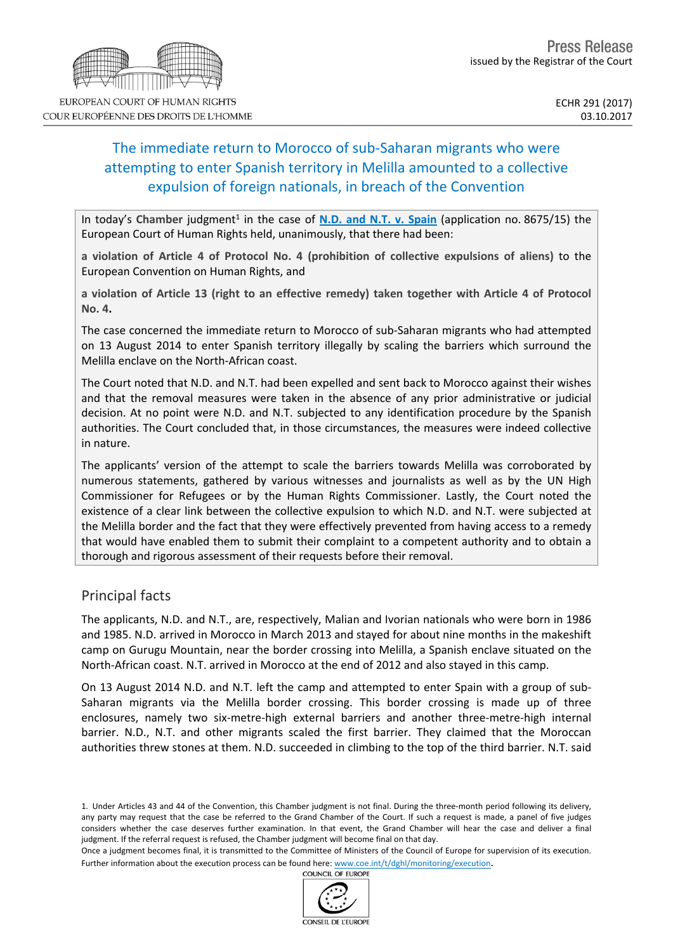# The immediate return to Morocco of sub-Saharan migrants who were attempting to enter Spanish territory in Melilla amounted to a collective expulsion of foreign nationals, in breach of the Convention

In today's Chamber judgment<sup>1</sup> in the case of **N.D. and N.T. v. [Spain](http://hudoc.echr.coe.int/eng?i=001-177231)** (application no. 8675/15) the European Court of Human Rights held, unanimously, that there had been:

**a violation of Article 4 of Protocol No. 4 (prohibition of collective expulsions of aliens)** to the European Convention on Human Rights, and

**a violation of Article 13 (right to an effective remedy) taken together with Article 4 of Protocol No. 4.**

The case concerned the immediate return to Morocco of sub-Saharan migrants who had attempted on 13 August 2014 to enter Spanish territory illegally by scaling the barriers which surround the Melilla enclave on the North-African coast.

The Court noted that N.D. and N.T. had been expelled and sent back to Morocco against their wishes and that the removal measures were taken in the absence of any prior administrative or judicial decision. At no point were N.D. and N.T. subjected to any identification procedure by the Spanish authorities. The Court concluded that, in those circumstances, the measures were indeed collective in nature.

The applicants' version of the attempt to scale the barriers towards Melilla was corroborated by numerous statements, gathered by various witnesses and journalists as well as by the UN High Commissioner for Refugees or by the Human Rights Commissioner. Lastly, the Court noted the existence of a clear link between the collective expulsion to which N.D. and N.T. were subjected at the Melilla border and the fact that they were effectively prevented from having access to a remedy that would have enabled them to submit their complaint to a competent authority and to obtain a thorough and rigorous assessment of their requests before their removal.

## Principal facts

The applicants, N.D. and N.T., are, respectively, Malian and Ivorian nationals who were born in 1986 and 1985. N.D. arrived in Morocco in March 2013 and stayed for about nine months in the makeshift camp on Gurugu Mountain, near the border crossing into Melilla, a Spanish enclave situated on the North-African coast. N.T. arrived in Morocco at the end of 2012 and also stayed in this camp.

On 13 August 2014 N.D. and N.T. left the camp and attempted to enter Spain with a group of sub-Saharan migrants via the Melilla border crossing. This border crossing is made up of three enclosures, namely two six-metre-high external barriers and another three-metre-high internal barrier. N.D., N.T. and other migrants scaled the first barrier. They claimed that the Moroccan authorities threw stones at them. N.D. succeeded in climbing to the top of the third barrier. N.T. said



COUR EUROPÉENNE DES DROITS DE L'HOMME

<sup>1.</sup> Under Articles 43 and 44 of the Convention, this Chamber judgment is not final. During the three-month period following its delivery, any party may request that the case be referred to the Grand Chamber of the Court. If such a request is made, a panel of five judges considers whether the case deserves further examination. In that event, the Grand Chamber will hear the case and deliver a final judgment. If the referral request is refused, the Chamber judgment will become final on that day.

Once a judgment becomes final, it is transmitted to the Committee of Ministers of the Council of Europe for supervision of its execution. Further information about the execution process can be found here: [www.coe.int/t/dghl/monitoring/execution](http://www.coe.int/t/dghl/monitoring/execution).<br>COUNCIL OF FUROPE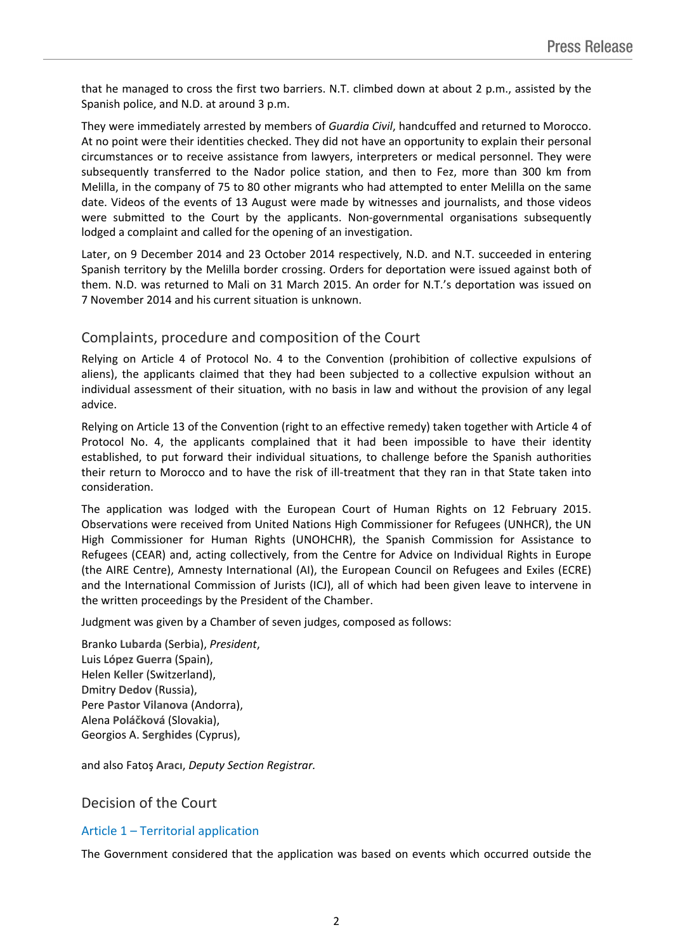that he managed to cross the first two barriers. N.T. climbed down at about 2 p.m., assisted by the Spanish police, and N.D. at around 3 p.m.

They were immediately arrested by members of *Guardia Civil*, handcuffed and returned to Morocco. At no point were their identities checked. They did not have an opportunity to explain their personal circumstances or to receive assistance from lawyers, interpreters or medical personnel. They were subsequently transferred to the Nador police station, and then to Fez, more than 300 km from Melilla, in the company of 75 to 80 other migrants who had attempted to enter Melilla on the same date. Videos of the events of 13 August were made by witnesses and journalists, and those videos were submitted to the Court by the applicants. Non-governmental organisations subsequently lodged a complaint and called for the opening of an investigation.

Later, on 9 December 2014 and 23 October 2014 respectively, N.D. and N.T. succeeded in entering Spanish territory by the Melilla border crossing. Orders for deportation were issued against both of them. N.D. was returned to Mali on 31 March 2015. An order for N.T.'s deportation was issued on 7 November 2014 and his current situation is unknown.

# Complaints, procedure and composition of the Court

Relying on Article 4 of Protocol No. 4 to the Convention (prohibition of collective expulsions of aliens), the applicants claimed that they had been subjected to a collective expulsion without an individual assessment of their situation, with no basis in law and without the provision of any legal advice.

Relying on Article 13 of the Convention (right to an effective remedy) taken together with Article 4 of Protocol No. 4, the applicants complained that it had been impossible to have their identity established, to put forward their individual situations, to challenge before the Spanish authorities their return to Morocco and to have the risk of ill-treatment that they ran in that State taken into consideration.

The application was lodged with the European Court of Human Rights on 12 February 2015. Observations were received from United Nations High Commissioner for Refugees (UNHCR), the UN High Commissioner for Human Rights (UNOHCHR), the Spanish Commission for Assistance to Refugees (CEAR) and, acting collectively, from the Centre for Advice on Individual Rights in Europe (the AIRE Centre), Amnesty International (AI), the European Council on Refugees and Exiles (ECRE) and the International Commission of Jurists (ICJ), all of which had been given leave to intervene in the written proceedings by the President of the Chamber.

Judgment was given by a Chamber of seven judges, composed as follows:

Branko **Lubarda** (Serbia), *President*, Luis **López Guerra** (Spain), Helen **Keller** (Switzerland), Dmitry **Dedov** (Russia), Pere **Pastor Vilanova** (Andorra), Alena **Poláčková** (Slovakia), Georgios A. **Serghides** (Cyprus),

and also Fatoş **Aracı**, *Deputy Section Registrar.*

## Decision of the Court

#### Article 1 – Territorial application

The Government considered that the application was based on events which occurred outside the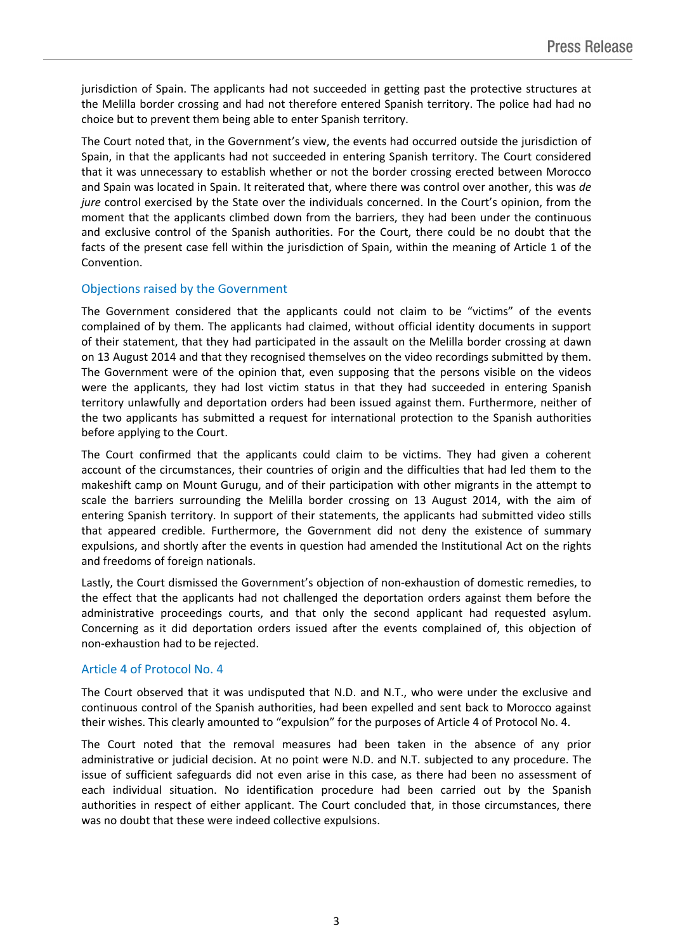jurisdiction of Spain. The applicants had not succeeded in getting past the protective structures at the Melilla border crossing and had not therefore entered Spanish territory. The police had had no choice but to prevent them being able to enter Spanish territory.

The Court noted that, in the Government's view, the events had occurred outside the jurisdiction of Spain, in that the applicants had not succeeded in entering Spanish territory. The Court considered that it was unnecessary to establish whether or not the border crossing erected between Morocco and Spain was located in Spain. It reiterated that, where there was control over another, this was *de jure* control exercised by the State over the individuals concerned. In the Court's opinion, from the moment that the applicants climbed down from the barriers, they had been under the continuous and exclusive control of the Spanish authorities. For the Court, there could be no doubt that the facts of the present case fell within the jurisdiction of Spain, within the meaning of Article 1 of the Convention.

#### Objections raised by the Government

The Government considered that the applicants could not claim to be "victims" of the events complained of by them. The applicants had claimed, without official identity documents in support of their statement, that they had participated in the assault on the Melilla border crossing at dawn on 13 August 2014 and that they recognised themselves on the video recordings submitted by them. The Government were of the opinion that, even supposing that the persons visible on the videos were the applicants, they had lost victim status in that they had succeeded in entering Spanish territory unlawfully and deportation orders had been issued against them. Furthermore, neither of the two applicants has submitted a request for international protection to the Spanish authorities before applying to the Court.

The Court confirmed that the applicants could claim to be victims. They had given a coherent account of the circumstances, their countries of origin and the difficulties that had led them to the makeshift camp on Mount Gurugu, and of their participation with other migrants in the attempt to scale the barriers surrounding the Melilla border crossing on 13 August 2014, with the aim of entering Spanish territory. In support of their statements, the applicants had submitted video stills that appeared credible. Furthermore, the Government did not deny the existence of summary expulsions, and shortly after the events in question had amended the Institutional Act on the rights and freedoms of foreign nationals.

Lastly, the Court dismissed the Government's objection of non-exhaustion of domestic remedies, to the effect that the applicants had not challenged the deportation orders against them before the administrative proceedings courts, and that only the second applicant had requested asylum. Concerning as it did deportation orders issued after the events complained of, this objection of non-exhaustion had to be rejected.

#### Article 4 of Protocol No. 4

The Court observed that it was undisputed that N.D. and N.T., who were under the exclusive and continuous control of the Spanish authorities, had been expelled and sent back to Morocco against their wishes. This clearly amounted to "expulsion" for the purposes of Article 4 of Protocol No. 4.

The Court noted that the removal measures had been taken in the absence of any prior administrative or judicial decision. At no point were N.D. and N.T. subjected to any procedure. The issue of sufficient safeguards did not even arise in this case, as there had been no assessment of each individual situation. No identification procedure had been carried out by the Spanish authorities in respect of either applicant. The Court concluded that, in those circumstances, there was no doubt that these were indeed collective expulsions.